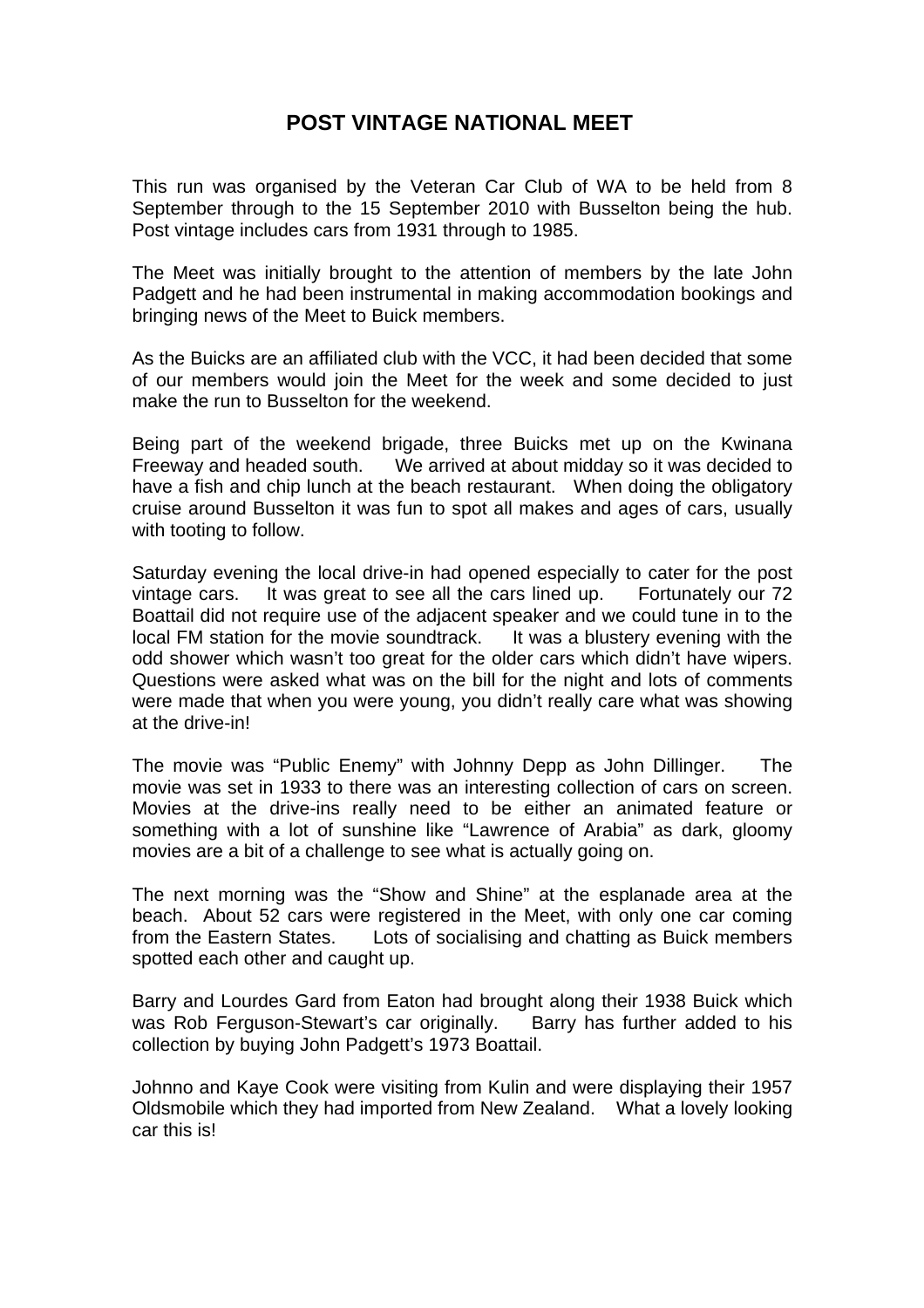## **POST VINTAGE NATIONAL MEET**

This run was organised by the Veteran Car Club of WA to be held from 8 September through to the 15 September 2010 with Busselton being the hub. Post vintage includes cars from 1931 through to 1985.

The Meet was initially brought to the attention of members by the late John Padgett and he had been instrumental in making accommodation bookings and bringing news of the Meet to Buick members.

As the Buicks are an affiliated club with the VCC, it had been decided that some of our members would join the Meet for the week and some decided to just make the run to Busselton for the weekend.

Being part of the weekend brigade, three Buicks met up on the Kwinana Freeway and headed south. We arrived at about midday so it was decided to have a fish and chip lunch at the beach restaurant. When doing the obligatory cruise around Busselton it was fun to spot all makes and ages of cars, usually with tooting to follow.

Saturday evening the local drive-in had opened especially to cater for the post vintage cars. It was great to see all the cars lined up. Fortunately our 72 Boattail did not require use of the adjacent speaker and we could tune in to the local FM station for the movie soundtrack. It was a blustery evening with the odd shower which wasn't too great for the older cars which didn't have wipers. Questions were asked what was on the bill for the night and lots of comments were made that when you were young, you didn't really care what was showing at the drive-in!

The movie was "Public Enemy" with Johnny Depp as John Dillinger. The movie was set in 1933 to there was an interesting collection of cars on screen. Movies at the drive-ins really need to be either an animated feature or something with a lot of sunshine like "Lawrence of Arabia" as dark, gloomy movies are a bit of a challenge to see what is actually going on.

The next morning was the "Show and Shine" at the esplanade area at the beach. About 52 cars were registered in the Meet, with only one car coming from the Eastern States. Lots of socialising and chatting as Buick members spotted each other and caught up.

Barry and Lourdes Gard from Eaton had brought along their 1938 Buick which was Rob Ferguson-Stewart's car originally. Barry has further added to his collection by buying John Padgett's 1973 Boattail.

Johnno and Kaye Cook were visiting from Kulin and were displaying their 1957 Oldsmobile which they had imported from New Zealand. What a lovely looking car this is!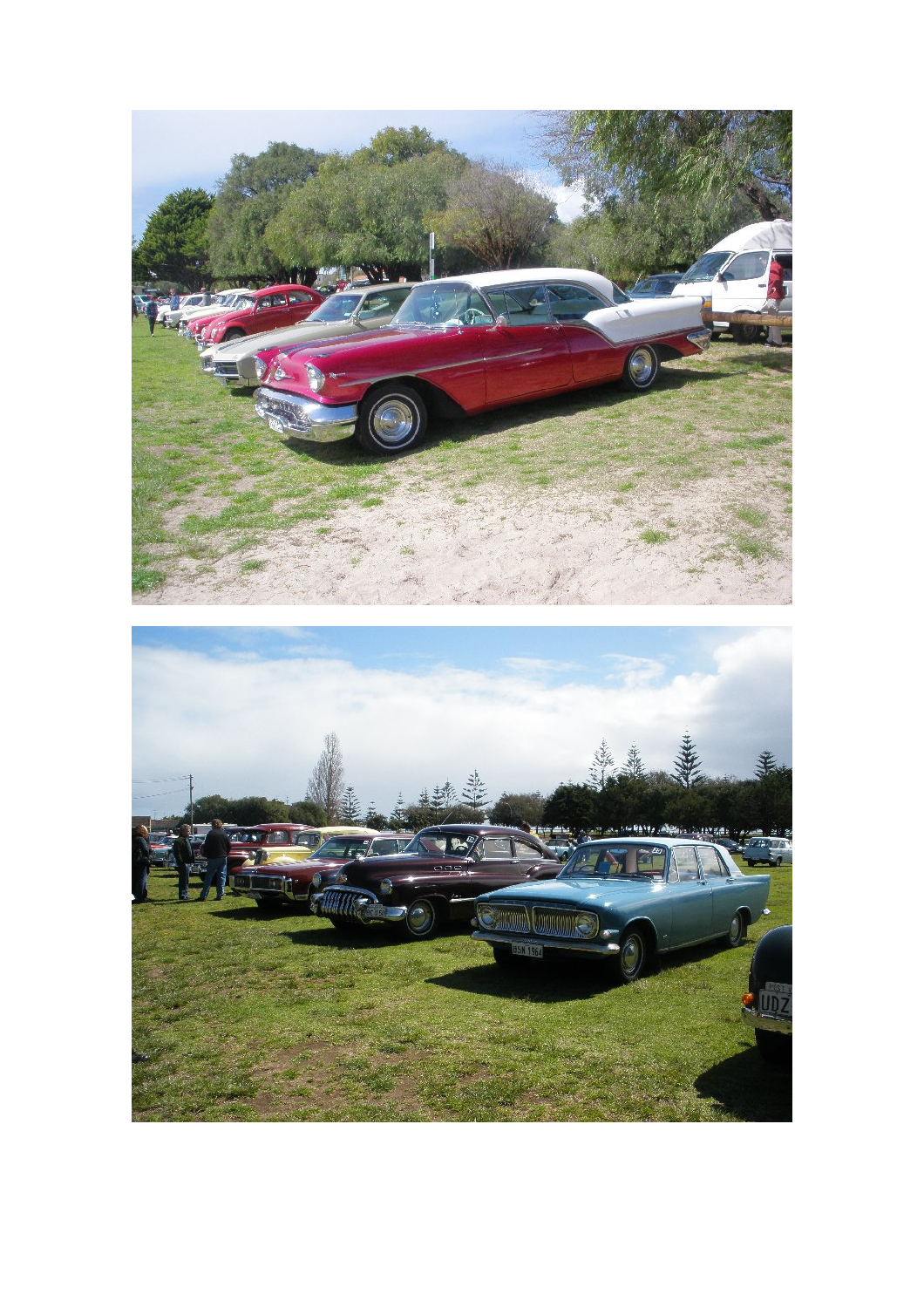